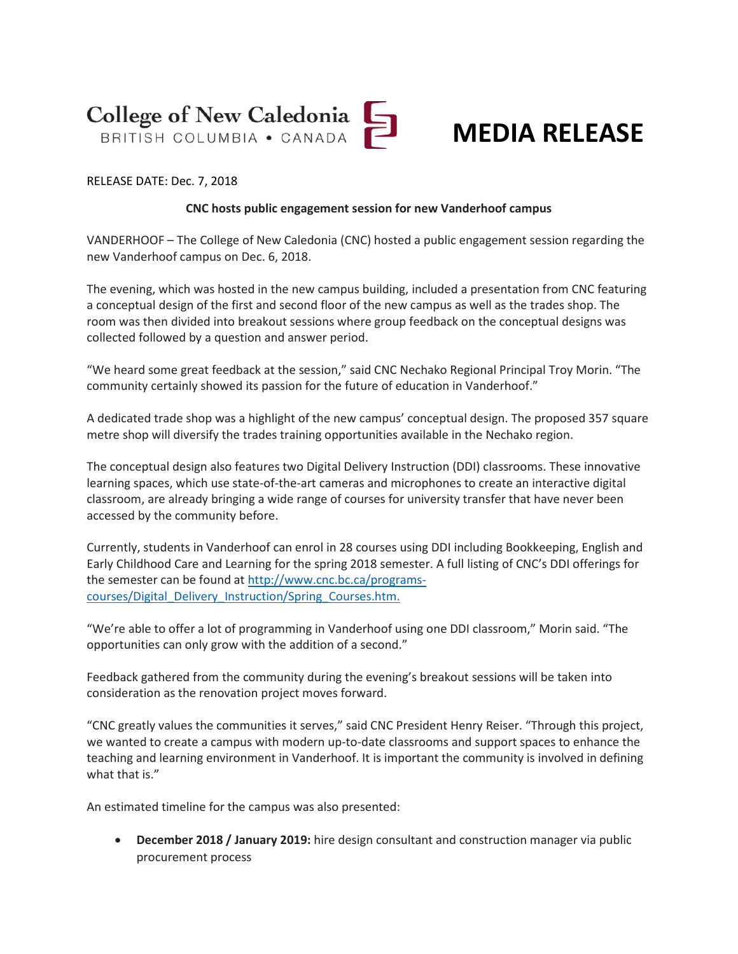

### **MEDIA RELEASE**

#### RELEASE DATE: Dec. 7, 2018

#### **CNC hosts public engagement session for new Vanderhoof campus**

VANDERHOOF – The College of New Caledonia (CNC) hosted a public engagement session regarding the new Vanderhoof campus on Dec. 6, 2018.

The evening, which was hosted in the new campus building, included a presentation from CNC featuring a conceptual design of the first and second floor of the new campus as well as the trades shop. The room was then divided into breakout sessions where group feedback on the conceptual designs was collected followed by a question and answer period.

"We heard some great feedback at the session," said CNC Nechako Regional Principal Troy Morin. "The community certainly showed its passion for the future of education in Vanderhoof."

A dedicated trade shop was a highlight of the new campus' conceptual design. The proposed 357 square metre shop will diversify the trades training opportunities available in the Nechako region.

The conceptual design also features two Digital Delivery Instruction (DDI) classrooms. These innovative learning spaces, which use state-of-the-art cameras and microphones to create an interactive digital classroom, are already bringing a wide range of courses for university transfer that have never been accessed by the community before.

Currently, students in Vanderhoof can enrol in 28 courses using DDI including Bookkeeping, English and Early Childhood Care and Learning for the spring 2018 semester. A full listing of CNC's DDI offerings for the semester can be found a[t http://www.cnc.bc.ca/programs](http://www.cnc.bc.ca/programs-courses/Digital_Delivery_Instruction/Spring_Courses.htm)[courses/Digital\\_Delivery\\_Instruction/Spring\\_Courses.htm.](http://www.cnc.bc.ca/programs-courses/Digital_Delivery_Instruction/Spring_Courses.htm)

"We're able to offer a lot of programming in Vanderhoof using one DDI classroom," Morin said. "The opportunities can only grow with the addition of a second."

Feedback gathered from the community during the evening's breakout sessions will be taken into consideration as the renovation project moves forward.

"CNC greatly values the communities it serves," said CNC President Henry Reiser. "Through this project, we wanted to create a campus with modern up-to-date classrooms and support spaces to enhance the teaching and learning environment in Vanderhoof. It is important the community is involved in defining what that is."

An estimated timeline for the campus was also presented:

• **December 2018 / January 2019:** hire design consultant and construction manager via public procurement process